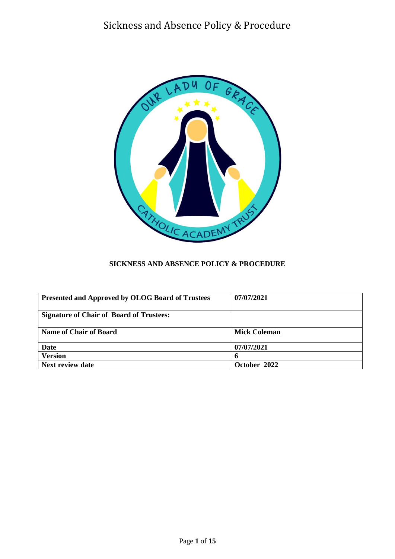

## **SICKNESS AND ABSENCE POLICY & PROCEDURE**

| <b>Presented and Approved by OLOG Board of Trustees</b> | 07/07/2021   |
|---------------------------------------------------------|--------------|
| <b>Signature of Chair of Board of Trustees:</b>         |              |
| <b>Name of Chair of Board</b>                           | Mick Coleman |
| Date                                                    | 07/07/2021   |
| <b>Version</b>                                          | <sup>0</sup> |
| <b>Next review date</b>                                 | October 2022 |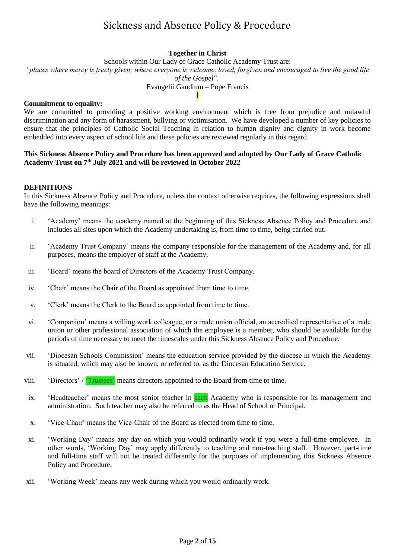## **Together in Christ**

Schools within Our Lady of Grace Catholic Academy Trust are: *"places where mercy is freely given; where everyone is welcome, loved, forgiven and encouraged to live the good life of the Gospel*". Evangelii Gaudium – Pope Francis **]**

#### **Commitment to equality:**

We are committed to providing a positive working environment which is free from prejudice and unlawful discrimination and any form of harassment, bullying or victimisation. We have developed a number of key policies to ensure that the principles of Catholic Social Teaching in relation to human dignity and dignity in work become embedded into every aspect of school life and these policies are reviewed regularly in this regard.

### **This Sickness Absence Policy and Procedure has been approved and adopted by Our Lady of Grace Catholic Academy Trust on 7 th July 2021 and will be reviewed in October 2022**

#### **DEFINITIONS**

In this Sickness Absence Policy and Procedure, unless the context otherwise requires, the following expressions shall have the following meanings:

- i. 'Academy' means the academy named at the beginning of this Sickness Absence Policy and Procedure and includes all sites upon which the Academy undertaking is, from time to time, being carried out.
- ii. 'Academy Trust Company' means the company responsible for the management of the Academy and, for all purposes, means the employer of staff at the Academy.
- iii. 'Board' means the board of Directors of the Academy Trust Company.
- iv. 'Chair' means the Chair of the Board as appointed from time to time.
- v. 'Clerk' means the Clerk to the Board as appointed from time to time.
- vi. 'Companion' means a willing work colleague, or a trade union official, an accredited representative of a trade union or other professional association of which the employee is a member, who should be available for the periods of time necessary to meet the timescales under this Sickness Absence Policy and Procedure.
- vii. 'Diocesan Schools Commission' means the education service provided by the diocese in which the Academy is situated, which may also be known, or referred to, as the Diocesan Education Service.
- viii. 'Directors' / 'Trustees' means directors appointed to the Board from time to time.
- ix. 'Headteacher' means the most senior teacher in each Academy who is responsible for its management and administration. Such teacher may also be referred to as the Head of School or Principal.
- x. 'Vice-Chair' means the Vice-Chair of the Board as elected from time to time.
- xi. 'Working Day' means any day on which you would ordinarily work if you were a full-time employee. In other words, 'Working Day' may apply differently to teaching and non-teaching staff. However, part-time and full-time staff will not be treated differently for the purposes of implementing this Sickness Absence Policy and Procedure.
- xii. 'Working Week' means any week during which you would ordinarily work.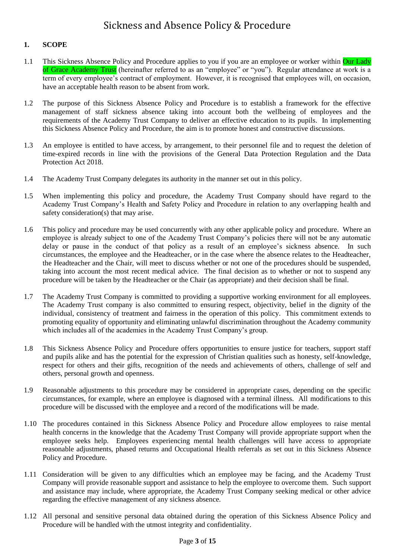## **1. SCOPE**

- 1.1 This Sickness Absence Policy and Procedure applies to you if you are an employee or worker within Our Lady of Grace Academy Trust (hereinafter referred to as an "employee" or "you"). Regular attendance at work is a term of every employee's contract of employment. However, it is recognised that employees will, on occasion, have an acceptable health reason to be absent from work.
- 1.2 The purpose of this Sickness Absence Policy and Procedure is to establish a framework for the effective management of staff sickness absence taking into account both the wellbeing of employees and the requirements of the Academy Trust Company to deliver an effective education to its pupils. In implementing this Sickness Absence Policy and Procedure, the aim is to promote honest and constructive discussions.
- 1.3 An employee is entitled to have access, by arrangement, to their personnel file and to request the deletion of time-expired records in line with the provisions of the General Data Protection Regulation and the Data Protection Act 2018.
- 1.4 The Academy Trust Company delegates its authority in the manner set out in this policy.
- 1.5 When implementing this policy and procedure, the Academy Trust Company should have regard to the Academy Trust Company's Health and Safety Policy and Procedure in relation to any overlapping health and safety consideration(s) that may arise.
- 1.6 This policy and procedure may be used concurrently with any other applicable policy and procedure. Where an employee is already subject to one of the Academy Trust Company's policies there will not be any automatic delay or pause in the conduct of that policy as a result of an employee's sickness absence. In such circumstances, the employee and the Headteacher, or in the case where the absence relates to the Headteacher, the Headteacher and the Chair, will meet to discuss whether or not one of the procedures should be suspended, taking into account the most recent medical advice. The final decision as to whether or not to suspend any procedure will be taken by the Headteacher or the Chair (as appropriate) and their decision shall be final.
- 1.7 The Academy Trust Company is committed to providing a supportive working environment for all employees. The Academy Trust company is also committed to ensuring respect, objectivity, belief in the dignity of the individual, consistency of treatment and fairness in the operation of this policy. This commitment extends to promoting equality of opportunity and eliminating unlawful discrimination throughout the Academy community which includes all of the academies in the Academy Trust Company's group.
- 1.8 This Sickness Absence Policy and Procedure offers opportunities to ensure justice for teachers, support staff and pupils alike and has the potential for the expression of Christian qualities such as honesty, self-knowledge, respect for others and their gifts, recognition of the needs and achievements of others, challenge of self and others, personal growth and openness.
- 1.9 Reasonable adjustments to this procedure may be considered in appropriate cases, depending on the specific circumstances, for example, where an employee is diagnosed with a terminal illness. All modifications to this procedure will be discussed with the employee and a record of the modifications will be made.
- 1.10 The procedures contained in this Sickness Absence Policy and Procedure allow employees to raise mental health concerns in the knowledge that the Academy Trust Company will provide appropriate support when the employee seeks help. Employees experiencing mental health challenges will have access to appropriate reasonable adjustments, phased returns and Occupational Health referrals as set out in this Sickness Absence Policy and Procedure.
- 1.11 Consideration will be given to any difficulties which an employee may be facing, and the Academy Trust Company will provide reasonable support and assistance to help the employee to overcome them. Such support and assistance may include, where appropriate, the Academy Trust Company seeking medical or other advice regarding the effective management of any sickness absence.
- 1.12 All personal and sensitive personal data obtained during the operation of this Sickness Absence Policy and Procedure will be handled with the utmost integrity and confidentiality.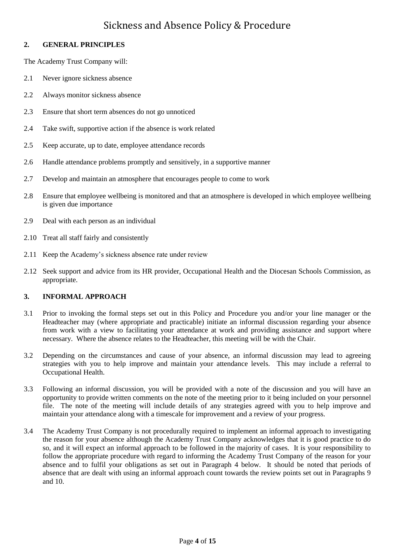## **2. GENERAL PRINCIPLES**

The Academy Trust Company will:

- 2.1 Never ignore sickness absence
- 2.2 Always monitor sickness absence
- 2.3 Ensure that short term absences do not go unnoticed
- 2.4 Take swift, supportive action if the absence is work related
- 2.5 Keep accurate, up to date, employee attendance records
- 2.6 Handle attendance problems promptly and sensitively, in a supportive manner
- 2.7 Develop and maintain an atmosphere that encourages people to come to work
- 2.8 Ensure that employee wellbeing is monitored and that an atmosphere is developed in which employee wellbeing is given due importance
- 2.9 Deal with each person as an individual
- 2.10 Treat all staff fairly and consistently
- 2.11 Keep the Academy's sickness absence rate under review
- 2.12 Seek support and advice from its HR provider, Occupational Health and the Diocesan Schools Commission, as appropriate.

## **3. INFORMAL APPROACH**

- 3.1 Prior to invoking the formal steps set out in this Policy and Procedure you and/or your line manager or the Headteacher may (where appropriate and practicable) initiate an informal discussion regarding your absence from work with a view to facilitating your attendance at work and providing assistance and support where necessary. Where the absence relates to the Headteacher, this meeting will be with the Chair.
- 3.2 Depending on the circumstances and cause of your absence, an informal discussion may lead to agreeing strategies with you to help improve and maintain your attendance levels. This may include a referral to Occupational Health.
- 3.3 Following an informal discussion, you will be provided with a note of the discussion and you will have an opportunity to provide written comments on the note of the meeting prior to it being included on your personnel file. The note of the meeting will include details of any strategies agreed with you to help improve and maintain your attendance along with a timescale for improvement and a review of your progress.
- 3.4 The Academy Trust Company is not procedurally required to implement an informal approach to investigating the reason for your absence although the Academy Trust Company acknowledges that it is good practice to do so, and it will expect an informal approach to be followed in the majority of cases. It is your responsibility to follow the appropriate procedure with regard to informing the Academy Trust Company of the reason for your absence and to fulfil your obligations as set out in Paragraph 4 below. It should be noted that periods of absence that are dealt with using an informal approach count towards the review points set out in Paragraphs 9 and 10.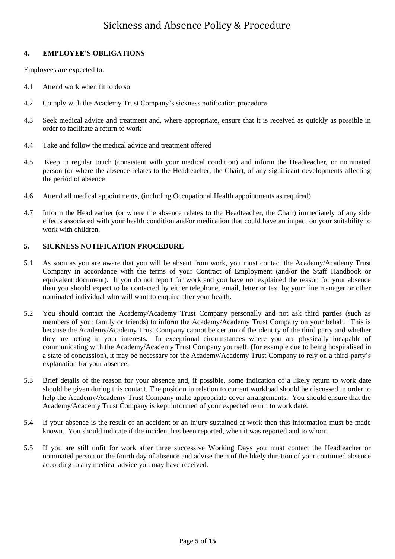## **4. EMPLOYEE'S OBLIGATIONS**

Employees are expected to:

- 4.1 Attend work when fit to do so
- 4.2 Comply with the Academy Trust Company's sickness notification procedure
- 4.3 Seek medical advice and treatment and, where appropriate, ensure that it is received as quickly as possible in order to facilitate a return to work
- 4.4 Take and follow the medical advice and treatment offered
- 4.5 Keep in regular touch (consistent with your medical condition) and inform the Headteacher, or nominated person (or where the absence relates to the Headteacher, the Chair), of any significant developments affecting the period of absence
- 4.6 Attend all medical appointments, (including Occupational Health appointments as required)
- 4.7 Inform the Headteacher (or where the absence relates to the Headteacher, the Chair) immediately of any side effects associated with your health condition and/or medication that could have an impact on your suitability to work with children.

#### **5. SICKNESS NOTIFICATION PROCEDURE**

- 5.1 As soon as you are aware that you will be absent from work, you must contact the Academy/Academy Trust Company in accordance with the terms of your Contract of Employment (and/or the Staff Handbook or equivalent document). If you do not report for work and you have not explained the reason for your absence then you should expect to be contacted by either telephone, email, letter or text by your line manager or other nominated individual who will want to enquire after your health.
- 5.2 You should contact the Academy/Academy Trust Company personally and not ask third parties (such as members of your family or friends) to inform the Academy/Academy Trust Company on your behalf. This is because the Academy/Academy Trust Company cannot be certain of the identity of the third party and whether they are acting in your interests. In exceptional circumstances where you are physically incapable of communicating with the Academy/Academy Trust Company yourself, (for example due to being hospitalised in a state of concussion), it may be necessary for the Academy/Academy Trust Company to rely on a third-party's explanation for your absence.
- 5.3 Brief details of the reason for your absence and, if possible, some indication of a likely return to work date should be given during this contact. The position in relation to current workload should be discussed in order to help the Academy/Academy Trust Company make appropriate cover arrangements. You should ensure that the Academy/Academy Trust Company is kept informed of your expected return to work date.
- 5.4 If your absence is the result of an accident or an injury sustained at work then this information must be made known. You should indicate if the incident has been reported, when it was reported and to whom.
- 5.5 If you are still unfit for work after three successive Working Days you must contact the Headteacher or nominated person on the fourth day of absence and advise them of the likely duration of your continued absence according to any medical advice you may have received.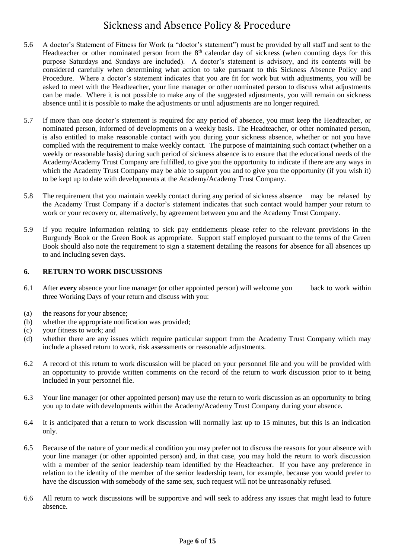- 5.6 A doctor's Statement of Fitness for Work (a "doctor's statement") must be provided by all staff and sent to the Headteacher or other nominated person from the  $8<sup>th</sup>$  calendar day of sickness (when counting days for this purpose Saturdays and Sundays are included). A doctor's statement is advisory, and its contents will be considered carefully when determining what action to take pursuant to this Sickness Absence Policy and Procedure. Where a doctor's statement indicates that you are fit for work but with adjustments, you will be asked to meet with the Headteacher, your line manager or other nominated person to discuss what adjustments can be made. Where it is not possible to make any of the suggested adjustments, you will remain on sickness absence until it is possible to make the adjustments or until adjustments are no longer required.
- 5.7 If more than one doctor's statement is required for any period of absence, you must keep the Headteacher, or nominated person, informed of developments on a weekly basis. The Headteacher, or other nominated person, is also entitled to make reasonable contact with you during your sickness absence, whether or not you have complied with the requirement to make weekly contact. The purpose of maintaining such contact (whether on a weekly or reasonable basis) during such period of sickness absence is to ensure that the educational needs of the Academy/Academy Trust Company are fulfilled, to give you the opportunity to indicate if there are any ways in which the Academy Trust Company may be able to support you and to give you the opportunity (if you wish it) to be kept up to date with developments at the Academy/Academy Trust Company.
- 5.8 The requirement that you maintain weekly contact during any period of sickness absence may be relaxed by the Academy Trust Company if a doctor's statement indicates that such contact would hamper your return to work or your recovery or, alternatively, by agreement between you and the Academy Trust Company.
- 5.9 If you require information relating to sick pay entitlements please refer to the relevant provisions in the Burgundy Book or the Green Book as appropriate. Support staff employed pursuant to the terms of the Green Book should also note the requirement to sign a statement detailing the reasons for absence for all absences up to and including seven days.

## **6. RETURN TO WORK DISCUSSIONS**

- 6.1 After **every** absence your line manager (or other appointed person) will welcome you back to work within three Working Days of your return and discuss with you:
- (a) the reasons for your absence;
- (b) whether the appropriate notification was provided;
- (c) your fitness to work; and
- (d) whether there are any issues which require particular support from the Academy Trust Company which may include a phased return to work, risk assessments or reasonable adjustments.
- 6.2 A record of this return to work discussion will be placed on your personnel file and you will be provided with an opportunity to provide written comments on the record of the return to work discussion prior to it being included in your personnel file.
- 6.3 Your line manager (or other appointed person) may use the return to work discussion as an opportunity to bring you up to date with developments within the Academy/Academy Trust Company during your absence.
- 6.4 It is anticipated that a return to work discussion will normally last up to 15 minutes, but this is an indication only.
- 6.5 Because of the nature of your medical condition you may prefer not to discuss the reasons for your absence with your line manager (or other appointed person) and, in that case, you may hold the return to work discussion with a member of the senior leadership team identified by the Headteacher. If you have any preference in relation to the identity of the member of the senior leadership team, for example, because you would prefer to have the discussion with somebody of the same sex, such request will not be unreasonably refused.
- 6.6 All return to work discussions will be supportive and will seek to address any issues that might lead to future absence.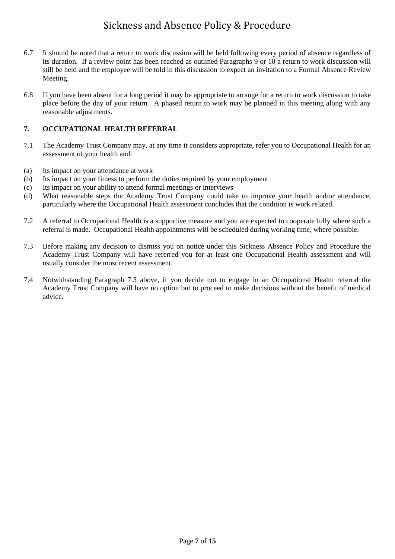- 6.7 It should be noted that a return to work discussion will be held following every period of absence regardless of its duration. If a review point has been reached as outlined Paragraphs 9 or 10 a return to work discussion will still be held and the employee will be told in this discussion to expect an invitation to a Formal Absence Review Meeting.
- 6.8 If you have been absent for a long period it may be appropriate to arrange for a return to work discussion to take place before the day of your return. A phased return to work may be planned in this meeting along with any reasonable adjustments.

## **7. OCCUPATIONAL HEALTH REFERRAL**

- 7.1 The Academy Trust Company may, at any time it considers appropriate, refer you to Occupational Health for an assessment of your health and:
- (a) Its impact on your attendance at work
- (b) Its impact on your fitness to perform the duties required by your employment
- (c) Its impact on your ability to attend formal meetings or interviews
- (d) What reasonable steps the Academy Trust Company could take to improve your health and/or attendance, particularly where the Occupational Health assessment concludes that the condition is work related.
- 7.2 A referral to Occupational Health is a supportive measure and you are expected to cooperate fully where such a referral is made. Occupational Health appointments will be scheduled during working time, where possible.
- 7.3 Before making any decision to dismiss you on notice under this Sickness Absence Policy and Procedure the Academy Trust Company will have referred you for at least one Occupational Health assessment and will usually consider the most recent assessment.
- 7.4 Notwithstanding Paragraph 7.3 above, if you decide not to engage in an Occupational Health referral the Academy Trust Company will have no option but to proceed to make decisions without the benefit of medical advice.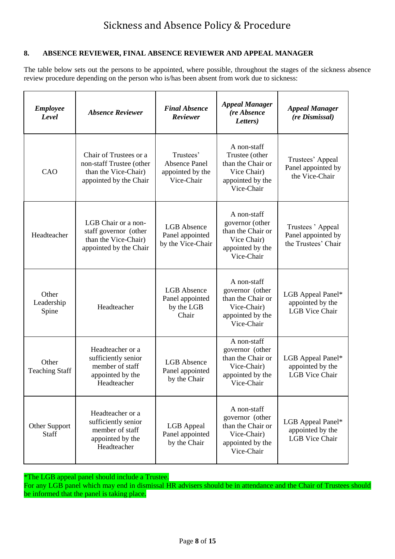## **8. ABSENCE REVIEWER, FINAL ABSENCE REVIEWER AND APPEAL MANAGER**

The table below sets out the persons to be appointed, where possible, throughout the stages of the sickness absence review procedure depending on the person who is/has been absent from work due to sickness:

| <b>Employee</b><br>Level       | <b>Absence Reviewer</b>                                                                              | <b>Final Absence</b><br>Reviewer                                    | <b>Appeal Manager</b><br>(re Absence<br>Letters)                                                     | <b>Appeal Manager</b><br>(re Dismissal)                        |
|--------------------------------|------------------------------------------------------------------------------------------------------|---------------------------------------------------------------------|------------------------------------------------------------------------------------------------------|----------------------------------------------------------------|
| CAO                            | Chair of Trustees or a<br>non-staff Trustee (other<br>than the Vice-Chair)<br>appointed by the Chair | Trustees'<br><b>Absence Panel</b><br>appointed by the<br>Vice-Chair | A non-staff<br>Trustee (other<br>than the Chair or<br>Vice Chair)<br>appointed by the<br>Vice-Chair  | Trustees' Appeal<br>Panel appointed by<br>the Vice-Chair       |
| Headteacher                    | LGB Chair or a non-<br>staff governor (other<br>than the Vice-Chair)<br>appointed by the Chair       | <b>LGB</b> Absence<br>Panel appointed<br>by the Vice-Chair          | A non-staff<br>governor (other<br>than the Chair or<br>Vice Chair)<br>appointed by the<br>Vice-Chair | Trustees 'Appeal<br>Panel appointed by<br>the Trustees' Chair  |
| Other<br>Leadership<br>Spine   | Headteacher                                                                                          | <b>LGB</b> Absence<br>Panel appointed<br>by the LGB<br>Chair        | A non-staff<br>governor (other<br>than the Chair or<br>Vice-Chair)<br>appointed by the<br>Vice-Chair | LGB Appeal Panel*<br>appointed by the<br><b>LGB</b> Vice Chair |
| Other<br><b>Teaching Staff</b> | Headteacher or a<br>sufficiently senior<br>member of staff<br>appointed by the<br>Headteacher        | <b>LGB</b> Absence<br>Panel appointed<br>by the Chair               | A non-staff<br>governor (other<br>than the Chair or<br>Vice-Chair)<br>appointed by the<br>Vice-Chair | LGB Appeal Panel*<br>appointed by the<br><b>LGB</b> Vice Chair |
| <b>Other Support</b><br>Staff  | Headteacher or a<br>sufficiently senior<br>member of staff<br>appointed by the<br>Headteacher        | LGB Appeal<br>Panel appointed<br>by the Chair                       | A non-staff<br>governor (other<br>than the Chair or<br>Vice-Chair)<br>appointed by the<br>Vice-Chair | LGB Appeal Panel*<br>appointed by the<br><b>LGB</b> Vice Chair |

\*The LGB appeal panel should include a Trustee.

For any LGB panel which may end in dismissal HR advisers should be in attendance and the Chair of Trustees should be informed that the panel is taking place.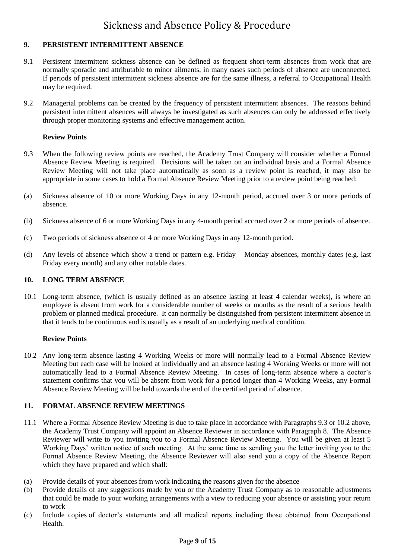## **9. PERSISTENT INTERMITTENT ABSENCE**

- 9.1 Persistent intermittent sickness absence can be defined as frequent short-term absences from work that are normally sporadic and attributable to minor ailments, in many cases such periods of absence are unconnected. If periods of persistent intermittent sickness absence are for the same illness, a referral to Occupational Health may be required.
- 9.2 Managerial problems can be created by the frequency of persistent intermittent absences. The reasons behind persistent intermittent absences will always be investigated as such absences can only be addressed effectively through proper monitoring systems and effective management action.

### **Review Points**

- 9.3 When the following review points are reached, the Academy Trust Company will consider whether a Formal Absence Review Meeting is required. Decisions will be taken on an individual basis and a Formal Absence Review Meeting will not take place automatically as soon as a review point is reached, it may also be appropriate in some cases to hold a Formal Absence Review Meeting prior to a review point being reached:
- (a) Sickness absence of 10 or more Working Days in any 12-month period, accrued over 3 or more periods of absence.
- (b) Sickness absence of 6 or more Working Days in any 4-month period accrued over 2 or more periods of absence.
- (c) Two periods of sickness absence of 4 or more Working Days in any 12-month period.
- (d) Any levels of absence which show a trend or pattern e.g. Friday Monday absences, monthly dates (e.g. last Friday every month) and any other notable dates.

#### **10. LONG TERM ABSENCE**

10.1 Long-term absence, (which is usually defined as an absence lasting at least 4 calendar weeks), is where an employee is absent from work for a considerable number of weeks or months as the result of a serious health problem or planned medical procedure. It can normally be distinguished from persistent intermittent absence in that it tends to be continuous and is usually as a result of an underlying medical condition.

#### **Review Points**

10.2 Any long-term absence lasting 4 Working Weeks or more will normally lead to a Formal Absence Review Meeting but each case will be looked at individually and an absence lasting 4 Working Weeks or more will not automatically lead to a Formal Absence Review Meeting. In cases of long-term absence where a doctor's statement confirms that you will be absent from work for a period longer than 4 Working Weeks, any Formal Absence Review Meeting will be held towards the end of the certified period of absence.

## **11. FORMAL ABSENCE REVIEW MEETINGS**

- 11.1 Where a Formal Absence Review Meeting is due to take place in accordance with Paragraphs 9.3 or 10.2 above, the Academy Trust Company will appoint an Absence Reviewer in accordance with Paragraph 8. The Absence Reviewer will write to you inviting you to a Formal Absence Review Meeting. You will be given at least 5 Working Days' written notice of such meeting. At the same time as sending you the letter inviting you to the Formal Absence Review Meeting, the Absence Reviewer will also send you a copy of the Absence Report which they have prepared and which shall:
- (a) Provide details of your absences from work indicating the reasons given for the absence
- (b) Provide details of any suggestions made by you or the Academy Trust Company as to reasonable adjustments that could be made to your working arrangements with a view to reducing your absence or assisting your return to work
- (c) Include copies of doctor's statements and all medical reports including those obtained from Occupational Health.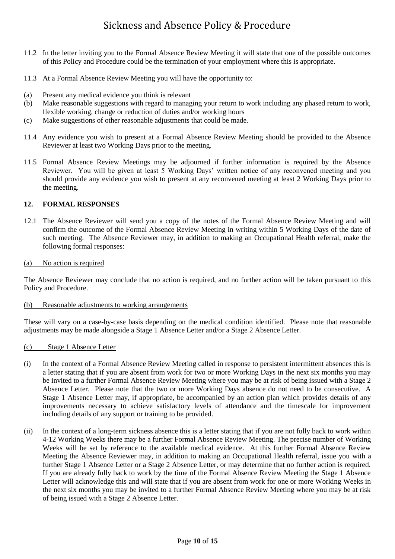- 11.2 In the letter inviting you to the Formal Absence Review Meeting it will state that one of the possible outcomes of this Policy and Procedure could be the termination of your employment where this is appropriate.
- 11.3 At a Formal Absence Review Meeting you will have the opportunity to:
- (a) Present any medical evidence you think is relevant
- (b) Make reasonable suggestions with regard to managing your return to work including any phased return to work, flexible working, change or reduction of duties and/or working hours
- (c) Make suggestions of other reasonable adjustments that could be made.
- 11.4 Any evidence you wish to present at a Formal Absence Review Meeting should be provided to the Absence Reviewer at least two Working Days prior to the meeting.
- 11.5 Formal Absence Review Meetings may be adjourned if further information is required by the Absence Reviewer. You will be given at least 5 Working Days' written notice of any reconvened meeting and you should provide any evidence you wish to present at any reconvened meeting at least 2 Working Days prior to the meeting.

## **12. FORMAL RESPONSES**

12.1 The Absence Reviewer will send you a copy of the notes of the Formal Absence Review Meeting and will confirm the outcome of the Formal Absence Review Meeting in writing within 5 Working Days of the date of such meeting. The Absence Reviewer may, in addition to making an Occupational Health referral, make the following formal responses:

### (a) No action is required

The Absence Reviewer may conclude that no action is required, and no further action will be taken pursuant to this Policy and Procedure.

### (b) Reasonable adjustments to working arrangements

These will vary on a case-by-case basis depending on the medical condition identified. Please note that reasonable adjustments may be made alongside a Stage 1 Absence Letter and/or a Stage 2 Absence Letter.

#### (c) Stage 1 Absence Letter

- (i) In the context of a Formal Absence Review Meeting called in response to persistent intermittent absences this is a letter stating that if you are absent from work for two or more Working Days in the next six months you may be invited to a further Formal Absence Review Meeting where you may be at risk of being issued with a Stage 2 Absence Letter. Please note that the two or more Working Days absence do not need to be consecutive. A Stage 1 Absence Letter may, if appropriate, be accompanied by an action plan which provides details of any improvements necessary to achieve satisfactory levels of attendance and the timescale for improvement including details of any support or training to be provided.
- (ii) In the context of a long-term sickness absence this is a letter stating that if you are not fully back to work within 4-12 Working Weeks there may be a further Formal Absence Review Meeting. The precise number of Working Weeks will be set by reference to the available medical evidence. At this further Formal Absence Review Meeting the Absence Reviewer may, in addition to making an Occupational Health referral, issue you with a further Stage 1 Absence Letter or a Stage 2 Absence Letter, or may determine that no further action is required. If you are already fully back to work by the time of the Formal Absence Review Meeting the Stage 1 Absence Letter will acknowledge this and will state that if you are absent from work for one or more Working Weeks in the next six months you may be invited to a further Formal Absence Review Meeting where you may be at risk of being issued with a Stage 2 Absence Letter.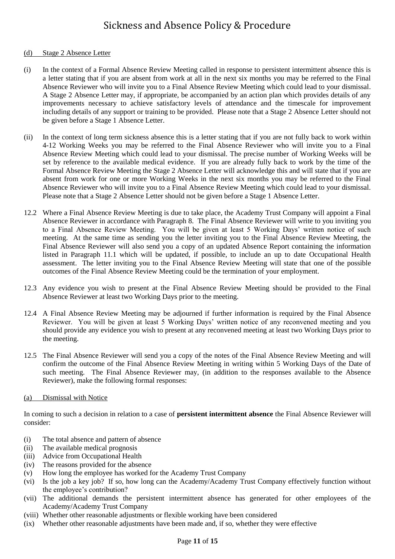### (d) Stage 2 Absence Letter

- (i) In the context of a Formal Absence Review Meeting called in response to persistent intermittent absence this is a letter stating that if you are absent from work at all in the next six months you may be referred to the Final Absence Reviewer who will invite you to a Final Absence Review Meeting which could lead to your dismissal. A Stage 2 Absence Letter may, if appropriate, be accompanied by an action plan which provides details of any improvements necessary to achieve satisfactory levels of attendance and the timescale for improvement including details of any support or training to be provided. Please note that a Stage 2 Absence Letter should not be given before a Stage 1 Absence Letter.
- (ii) In the context of long term sickness absence this is a letter stating that if you are not fully back to work within 4-12 Working Weeks you may be referred to the Final Absence Reviewer who will invite you to a Final Absence Review Meeting which could lead to your dismissal. The precise number of Working Weeks will be set by reference to the available medical evidence. If you are already fully back to work by the time of the Formal Absence Review Meeting the Stage 2 Absence Letter will acknowledge this and will state that if you are absent from work for one or more Working Weeks in the next six months you may be referred to the Final Absence Reviewer who will invite you to a Final Absence Review Meeting which could lead to your dismissal. Please note that a Stage 2 Absence Letter should not be given before a Stage 1 Absence Letter.
- 12.2 Where a Final Absence Review Meeting is due to take place, the Academy Trust Company will appoint a Final Absence Reviewer in accordance with Paragraph 8. The Final Absence Reviewer will write to you inviting you to a Final Absence Review Meeting. You will be given at least 5 Working Days' written notice of such meeting. At the same time as sending you the letter inviting you to the Final Absence Review Meeting, the Final Absence Reviewer will also send you a copy of an updated Absence Report containing the information listed in Paragraph 11.1 which will be updated, if possible, to include an up to date Occupational Health assessment. The letter inviting you to the Final Absence Review Meeting will state that one of the possible outcomes of the Final Absence Review Meeting could be the termination of your employment.
- 12.3 Any evidence you wish to present at the Final Absence Review Meeting should be provided to the Final Absence Reviewer at least two Working Days prior to the meeting.
- 12.4 A Final Absence Review Meeting may be adjourned if further information is required by the Final Absence Reviewer. You will be given at least 5 Working Days' written notice of any reconvened meeting and you should provide any evidence you wish to present at any reconvened meeting at least two Working Days prior to the meeting.
- 12.5 The Final Absence Reviewer will send you a copy of the notes of the Final Absence Review Meeting and will confirm the outcome of the Final Absence Review Meeting in writing within 5 Working Days of the Date of such meeting. The Final Absence Reviewer may, (in addition to the responses available to the Absence Reviewer), make the following formal responses:
- (a) Dismissal with Notice

In coming to such a decision in relation to a case of **persistent intermittent absence** the Final Absence Reviewer will consider:

- (i) The total absence and pattern of absence
- (ii) The available medical prognosis
- (iii) Advice from Occupational Health
- (iv) The reasons provided for the absence
- (v) How long the employee has worked for the Academy Trust Company
- (vi) Is the job a key job? If so, how long can the Academy/Academy Trust Company effectively function without the employee's contribution?
- (vii) The additional demands the persistent intermittent absence has generated for other employees of the Academy/Academy Trust Company
- (viii) Whether other reasonable adjustments or flexible working have been considered
- (ix) Whether other reasonable adjustments have been made and, if so, whether they were effective

### Page **11** of **15**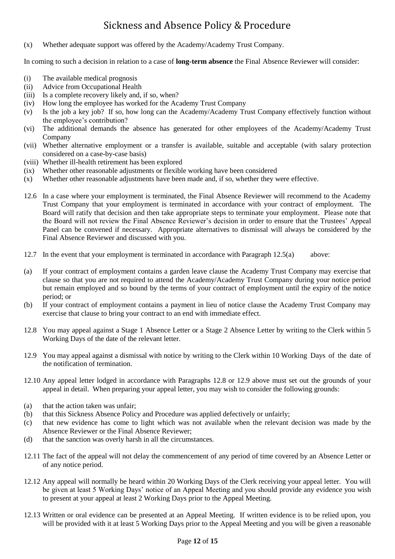(x) Whether adequate support was offered by the Academy/Academy Trust Company.

In coming to such a decision in relation to a case of **long-term absence** the Final Absence Reviewer will consider:

- (i) The available medical prognosis
- (ii) Advice from Occupational Health
- (iii) Is a complete recovery likely and, if so, when?
- (iv) How long the employee has worked for the Academy Trust Company
- (v) Is the job a key job? If so, how long can the Academy/Academy Trust Company effectively function without the employee's contribution?
- (vi) The additional demands the absence has generated for other employees of the Academy/Academy Trust Company
- (vii) Whether alternative employment or a transfer is available, suitable and acceptable (with salary protection considered on a case-by-case basis)
- (viii) Whether ill-health retirement has been explored
- (ix) Whether other reasonable adjustments or flexible working have been considered
- (x) Whether other reasonable adjustments have been made and, if so, whether they were effective.
- 12.6 In a case where your employment is terminated, the Final Absence Reviewer will recommend to the Academy Trust Company that your employment is terminated in accordance with your contract of employment. The Board will ratify that decision and then take appropriate steps to terminate your employment. Please note that the Board will not review the Final Absence Reviewer's decision in order to ensure that the Trustees' Appeal Panel can be convened if necessary. Appropriate alternatives to dismissal will always be considered by the Final Absence Reviewer and discussed with you.
- 12.7 In the event that your employment is terminated in accordance with Paragraph 12.5(a) above:
- (a) If your contract of employment contains a garden leave clause the Academy Trust Company may exercise that clause so that you are not required to attend the Academy/Academy Trust Company during your notice period but remain employed and so bound by the terms of your contract of employment until the expiry of the notice period; or
- (b) If your contract of employment contains a payment in lieu of notice clause the Academy Trust Company may exercise that clause to bring your contract to an end with immediate effect.
- 12.8 You may appeal against a Stage 1 Absence Letter or a Stage 2 Absence Letter by writing to the Clerk within 5 Working Days of the date of the relevant letter.
- 12.9 You may appeal against a dismissal with notice by writing to the Clerk within 10 Working Days of the date of the notification of termination.
- 12.10 Any appeal letter lodged in accordance with Paragraphs 12.8 or 12.9 above must set out the grounds of your appeal in detail. When preparing your appeal letter, you may wish to consider the following grounds:
- (a) that the action taken was unfair;
- (b) that this Sickness Absence Policy and Procedure was applied defectively or unfairly;
- (c) that new evidence has come to light which was not available when the relevant decision was made by the Absence Reviewer or the Final Absence Reviewer;
- (d) that the sanction was overly harsh in all the circumstances.
- 12.11 The fact of the appeal will not delay the commencement of any period of time covered by an Absence Letter or of any notice period.
- 12.12 Any appeal will normally be heard within 20 Working Days of the Clerk receiving your appeal letter. You will be given at least 5 Working Days' notice of an Appeal Meeting and you should provide any evidence you wish to present at your appeal at least 2 Working Days prior to the Appeal Meeting.
- 12.13 Written or oral evidence can be presented at an Appeal Meeting. If written evidence is to be relied upon, you will be provided with it at least 5 Working Days prior to the Appeal Meeting and you will be given a reasonable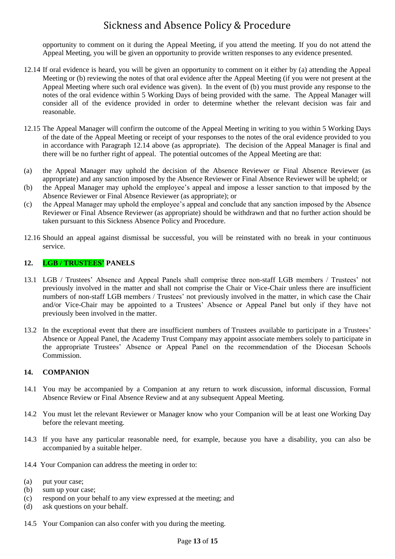opportunity to comment on it during the Appeal Meeting, if you attend the meeting. If you do not attend the Appeal Meeting, you will be given an opportunity to provide written responses to any evidence presented.

- 12.14 If oral evidence is heard, you will be given an opportunity to comment on it either by (a) attending the Appeal Meeting or (b) reviewing the notes of that oral evidence after the Appeal Meeting (if you were not present at the Appeal Meeting where such oral evidence was given). In the event of (b) you must provide any response to the notes of the oral evidence within 5 Working Days of being provided with the same. The Appeal Manager will consider all of the evidence provided in order to determine whether the relevant decision was fair and reasonable.
- 12.15 The Appeal Manager will confirm the outcome of the Appeal Meeting in writing to you within 5 Working Days of the date of the Appeal Meeting or receipt of your responses to the notes of the oral evidence provided to you in accordance with Paragraph 12.14 above (as appropriate). The decision of the Appeal Manager is final and there will be no further right of appeal. The potential outcomes of the Appeal Meeting are that:
- (a) the Appeal Manager may uphold the decision of the Absence Reviewer or Final Absence Reviewer (as appropriate) and any sanction imposed by the Absence Reviewer or Final Absence Reviewer will be upheld; or
- (b) the Appeal Manager may uphold the employee's appeal and impose a lesser sanction to that imposed by the Absence Reviewer or Final Absence Reviewer (as appropriate); or
- (c) the Appeal Manager may uphold the employee's appeal and conclude that any sanction imposed by the Absence Reviewer or Final Absence Reviewer (as appropriate) should be withdrawn and that no further action should be taken pursuant to this Sickness Absence Policy and Procedure.
- 12.16 Should an appeal against dismissal be successful, you will be reinstated with no break in your continuous service.

## **12. LGB / TRUSTEES' PANELS**

- 13.1 LGB / Trustees' Absence and Appeal Panels shall comprise three non-staff LGB members / Trustees' not previously involved in the matter and shall not comprise the Chair or Vice-Chair unless there are insufficient numbers of non-staff LGB members / Trustees' not previously involved in the matter, in which case the Chair and/or Vice-Chair may be appointed to a Trustees' Absence or Appeal Panel but only if they have not previously been involved in the matter.
- 13.2 In the exceptional event that there are insufficient numbers of Trustees available to participate in a Trustees' Absence or Appeal Panel, the Academy Trust Company may appoint associate members solely to participate in the appropriate Trustees' Absence or Appeal Panel on the recommendation of the Diocesan Schools Commission.

### **14. COMPANION**

- 14.1 You may be accompanied by a Companion at any return to work discussion, informal discussion, Formal Absence Review or Final Absence Review and at any subsequent Appeal Meeting.
- 14.2 You must let the relevant Reviewer or Manager know who your Companion will be at least one Working Day before the relevant meeting.
- 14.3 If you have any particular reasonable need, for example, because you have a disability, you can also be accompanied by a suitable helper.
- 14.4 Your Companion can address the meeting in order to:
- (a) put your case;
- (b) sum up your case;
- (c) respond on your behalf to any view expressed at the meeting; and
- (d) ask questions on your behalf.
- 14.5 Your Companion can also confer with you during the meeting.